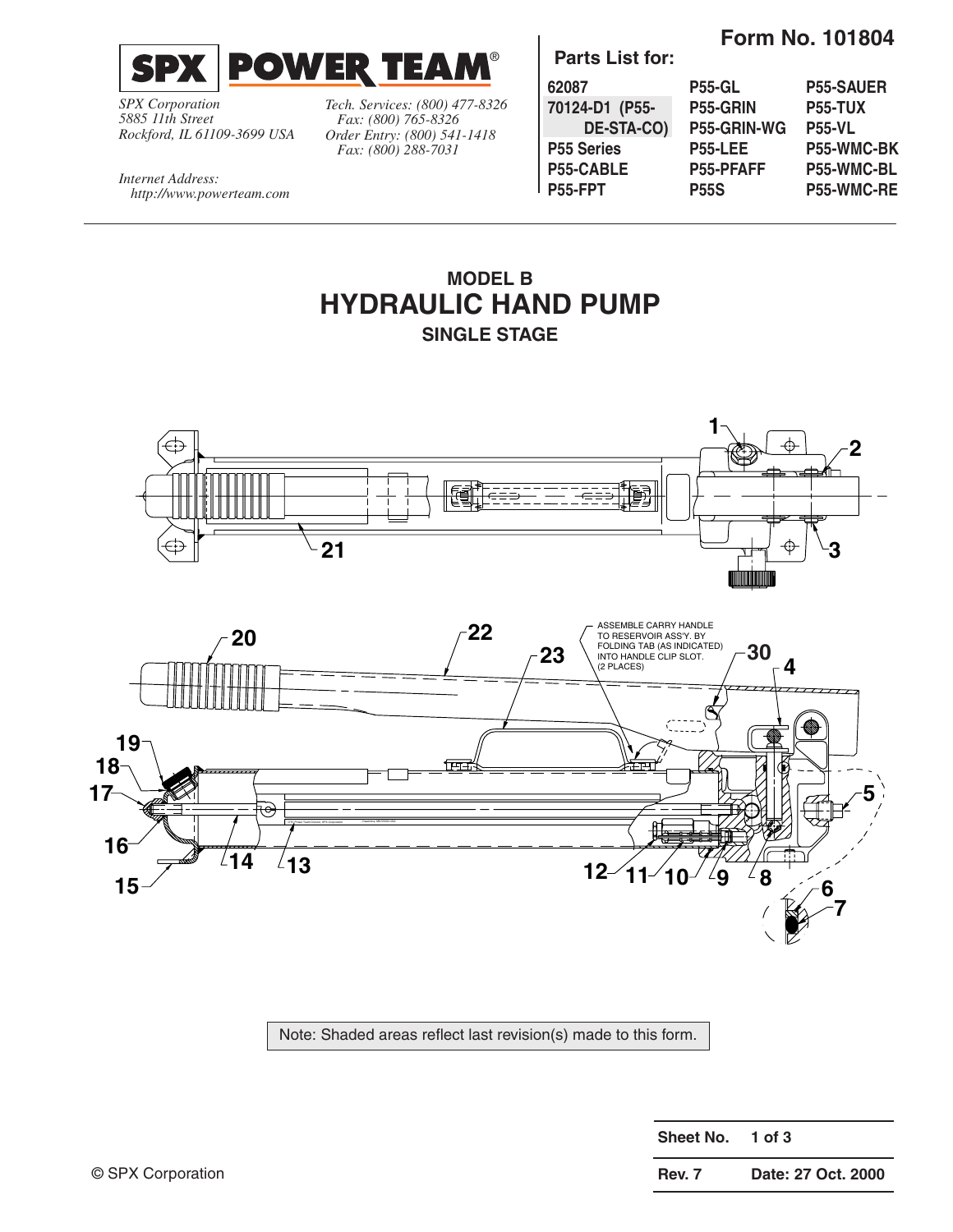

*SPX Corporation 5885 11th Street Rockford, IL 61109-3699 USA* *Tech. Services: (800) 477-8326 Fax: (800) 765-8326 Order Entry: (800) 541-1418 Fax: (800) 288-7031*

**Parts List for:**

**Form No. 101804**

| 62087             | <b>P55-GL</b>    | <b>P55-SAUER</b> |
|-------------------|------------------|------------------|
| 70124-D1 (P55-    | P55-GRIN         | <b>P55-TUX</b>   |
| DE-STA-CO)        | P55-GRIN-WG      | <b>P55-VL</b>    |
| <b>P55 Series</b> | <b>P55-LEE</b>   | P55-WMC-BK       |
| P55-CABLE         | <b>P55-PFAFF</b> | P55-WMC-BL       |
| P55-FPT           | <b>P55S</b>      | P55-WMC-RE       |

*Internet Address: http://www.powerteam.com*

## **MODEL B HYDRAULIC HAND PUMP SINGLE STAGE**





Note: Shaded areas reflect last revision(s) made to this form.

| Sheet No. | $1$ of 3           |
|-----------|--------------------|
| Rev. 7    | Date: 27 Oct. 2000 |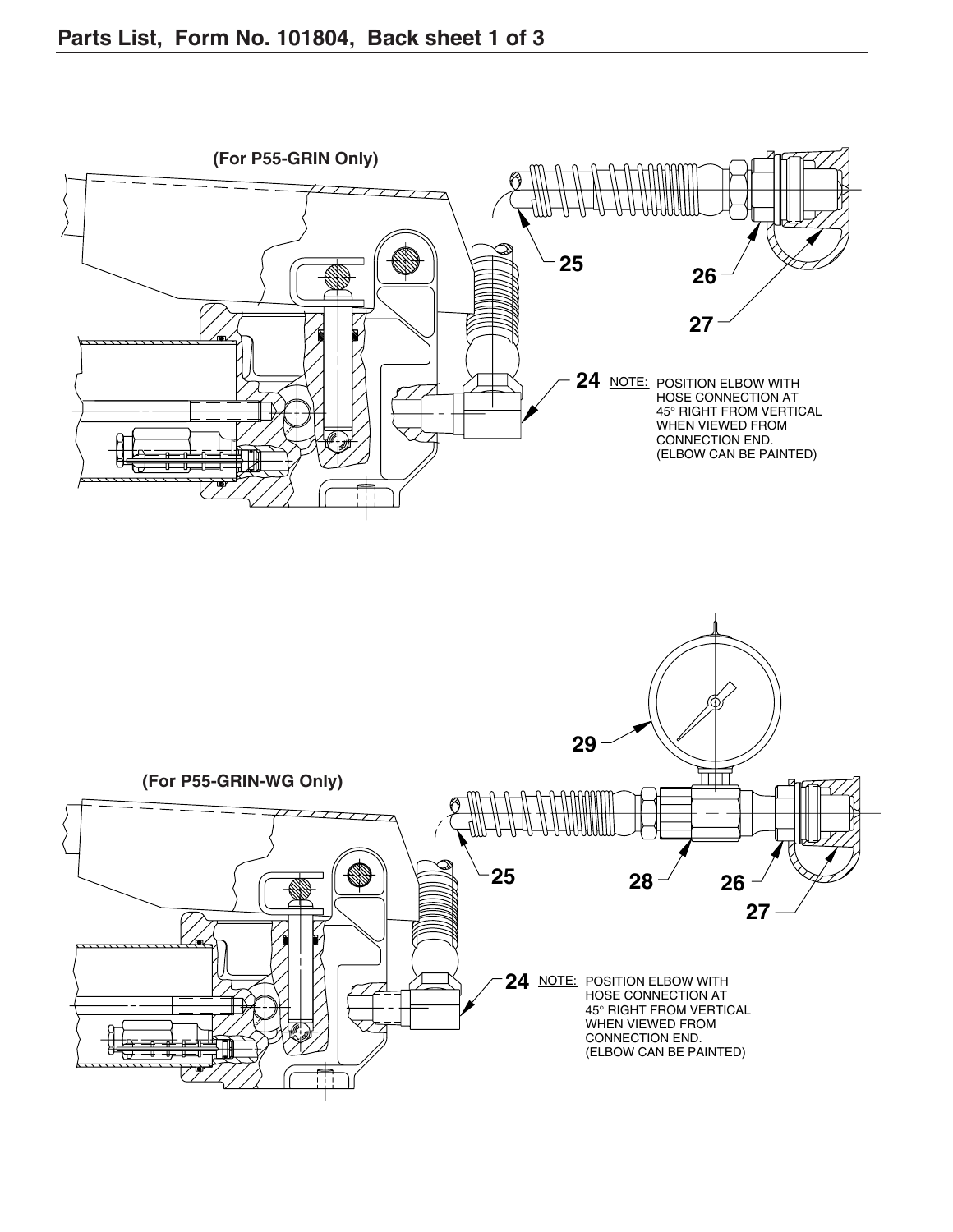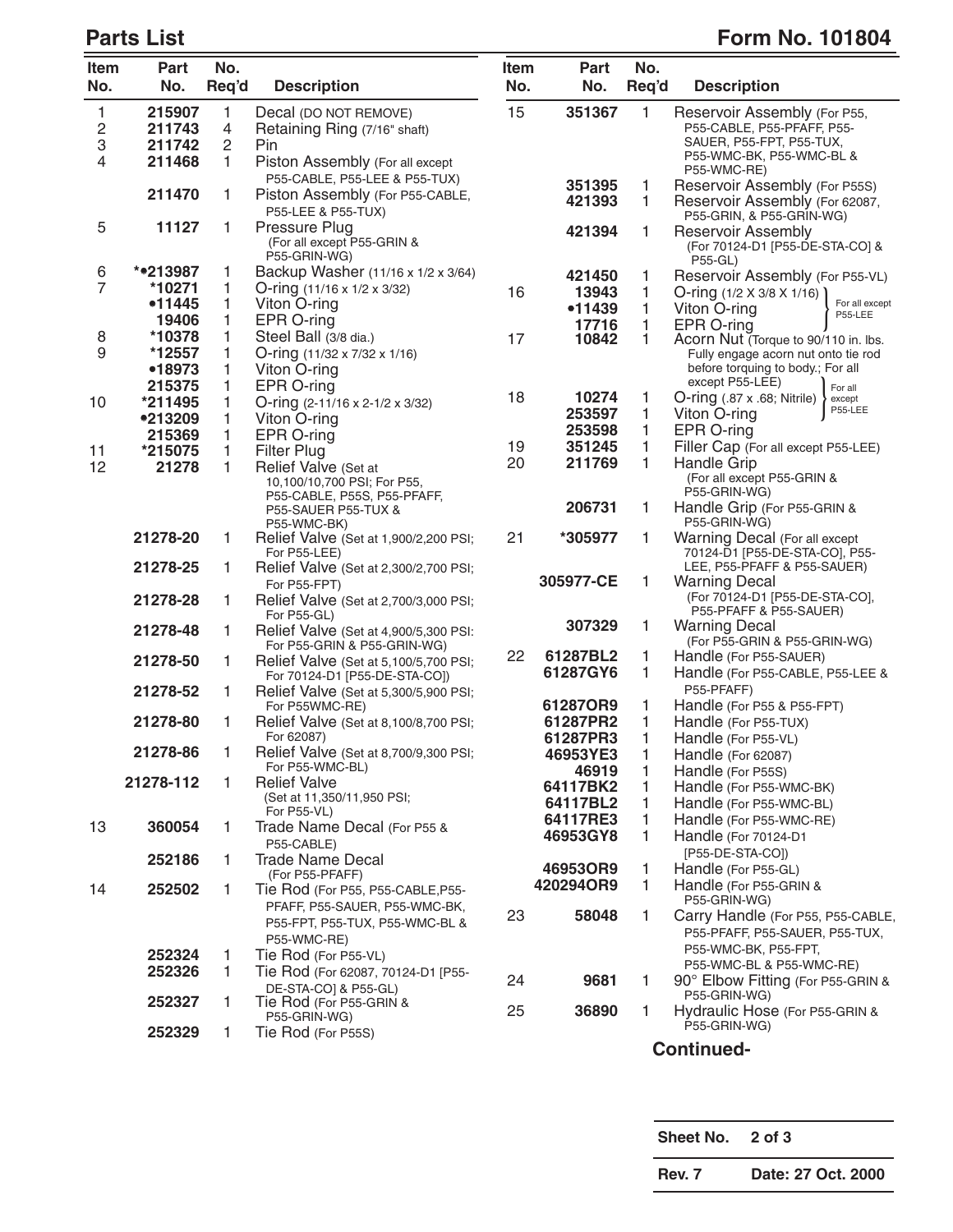## **Parts List** Form No. 101804

| Item<br>No.    | Part<br>No.      | No.<br>Req'd   | <b>Description</b>                                                                       | Item<br>No. | <b>Part</b><br>No.   | No.<br>Req'd      | <b>Description</b>                                                                  |
|----------------|------------------|----------------|------------------------------------------------------------------------------------------|-------------|----------------------|-------------------|-------------------------------------------------------------------------------------|
| 1              | 215907           | 1              | Decal (DO NOT REMOVE)                                                                    | 15          | 351367               | 1                 | Reservoir Assembly (For P55,                                                        |
| 2              | 211743           | $\overline{4}$ | Retaining Ring (7/16" shaft)                                                             |             |                      |                   | P55-CABLE, P55-PFAFF, P55-                                                          |
| 3              | 211742           | $\overline{c}$ | Pin                                                                                      |             |                      |                   | SAUER, P55-FPT, P55-TUX,                                                            |
| 4              | 211468           | 1              | Piston Assembly (For all except                                                          |             |                      |                   | P55-WMC-BK, P55-WMC-BL &<br>P55-WMC-RE)                                             |
|                |                  |                | P55-CABLE, P55-LEE & P55-TUX)                                                            |             | 351395               | 1                 | Reservoir Assembly (For P55S)                                                       |
|                | 211470           | 1              | Piston Assembly (For P55-CABLE,<br>P55-LEE & P55-TUX)                                    |             | 421393               | 1                 | Reservoir Assembly (For 62087,<br>P55-GRIN, & P55-GRIN-WG)                          |
| 5              | 11127            | 1              | Pressure Plug<br>(For all except P55-GRIN &<br>P55-GRIN-WG)                              |             | 421394               | 1                 | <b>Reservoir Assembly</b><br>(For 70124-D1 [P55-DE-STA-CO] &<br><b>P55-GL)</b>      |
| 6              | **213987         | 1              | Backup Washer (11/16 x 1/2 x 3/64)                                                       |             | 421450               | 1                 | Reservoir Assembly (For P55-VL)                                                     |
| $\overline{7}$ | *10271           | 1              | O-ring (11/16 x 1/2 x 3/32)                                                              | 16          | 13943                | 1                 | O-ring $(1/2 \times 3/8 \times 1/16)$                                               |
|                | •11445           | 1              | Viton O-ring                                                                             |             | •11439               | 1                 | For all except<br>Viton O-ring<br>P55-LEE                                           |
|                | 19406            | 1              | EPR O-ring                                                                               |             | 17716                | 1                 | EPR O-ring                                                                          |
| 8              | *10378           | 1              | Steel Ball (3/8 dia.)                                                                    | 17          | 10842                | 1                 | Acorn Nut (Torque to 90/110 in. lbs.                                                |
| 9              | *12557<br>•18973 | 1<br>1         | O-ring $(11/32 \times 7/32 \times 1/16)$<br>Viton O-ring                                 |             |                      |                   | Fully engage acorn nut onto tie rod<br>before torquing to body.; For all            |
|                | 215375           | 1              | EPR O-ring                                                                               |             |                      |                   | except P55-LEE)<br>For all                                                          |
| 10             | *211495          | 1              | O-ring (2-11/16 x 2-1/2 x 3/32)                                                          | 18          | 10274                | 1                 | $O\text{-ring}$ (.87 x .68; Nitrile)<br>except                                      |
|                | •213209          | 1              | Viton O-ring                                                                             |             | 253597               | 1                 | P55-LEE<br>Viton O-ring                                                             |
|                | 215369           | 1              | EPR O-ring                                                                               |             | 253598               | 1                 | EPR O-ring                                                                          |
| 11             | *215075          | 1              | <b>Filter Plug</b>                                                                       | 19          | 351245               | 1                 | Filler Cap (For all except P55-LEE)                                                 |
| 12             | 21278            | 1.             | Relief Valve (Set at                                                                     | 20          | 211769               | 1                 | Handle Grip                                                                         |
|                |                  |                | 10,100/10,700 PSI; For P55,                                                              |             |                      |                   | (For all except P55-GRIN &                                                          |
|                |                  |                | P55-CABLE, P55S, P55-PFAFF,<br>P55-SAUER P55-TUX &<br>P55-WMC-BK)                        |             | 206731               | 1                 | P55-GRIN-WG)<br>Handle Grip (For P55-GRIN &<br>P55-GRIN-WG)                         |
|                | 21278-20         | 1              | Relief Valve (Set at 1,900/2,200 PSI;<br>For P55-LEE)                                    | 21          | *305977              | 1                 | Warning Decal (For all except<br>70124-D1 [P55-DE-STA-CO], P55-                     |
|                | 21278-25         | 1.             | Relief Valve (Set at 2,300/2,700 PSI;<br>For P55-FPT)                                    |             | 305977-CE            | 1                 | LEE, P55-PFAFF & P55-SAUER)<br><b>Warning Decal</b>                                 |
|                | 21278-28         | 1              | Relief Valve (Set at 2,700/3,000 PSI;<br>For P55-GL)                                     |             |                      |                   | (For 70124-D1 [P55-DE-STA-CO],<br>P55-PFAFF & P55-SAUER)                            |
|                | 21278-48         | 1              | Relief Valve (Set at 4,900/5,300 PSI:<br>For P55-GRIN & P55-GRIN-WG)                     |             | 307329               | 1                 | <b>Warning Decal</b><br>(For P55-GRIN & P55-GRIN-WG)                                |
|                | 21278-50         | 1              | Relief Valve (Set at 5,100/5,700 PSI;                                                    | 22          | 61287BL2<br>61287GY6 | 1<br>1            | Handle (For P55-SAUER)<br>Handle (For P55-CABLE, P55-LEE &                          |
|                | 21278-52         | 1              | For 70124-D1 [P55-DE-STA-CO])<br>Relief Valve (Set at 5,300/5,900 PSI;<br>For P55WMC-RE) |             | 61287OR9             | 1                 | P55-PFAFF)<br>Handle (For P55 & P55-FPT)                                            |
|                | 21278-80         | 1.             | Relief Valve (Set at 8,100/8,700 PSI;                                                    |             | 61287PR2             | 1                 | Handle (For P55-TUX)                                                                |
|                |                  |                | For 62087)                                                                               |             | 61287PR3             | 1                 | Handle (For P55-VL)                                                                 |
|                | 21278-86         | 1              | Relief Valve (Set at 8,700/9,300 PSI;                                                    |             | 46953YE3             | 1                 | Handle (For 62087)                                                                  |
|                |                  |                | For P55-WMC-BL)                                                                          |             | 46919                | 1                 | Handle (For P55S)                                                                   |
|                | 21278-112        | 1.             | <b>Relief Valve</b><br>(Set at 11,350/11,950 PSI;<br>For P55-VL)                         |             | 64117BK2<br>64117BL2 | 1<br>1            | Handle (For P55-WMC-BK)<br>Handle (For P55-WMC-BL)                                  |
| 13             | 360054           | 1              | Trade Name Decal (For P55 &                                                              |             | 64117RE3             | 1                 | Handle (For P55-WMC-RE)                                                             |
|                |                  |                | P55-CABLE)                                                                               |             | 46953GY8             | 1                 | Handle (For 70124-D1                                                                |
|                | 252186           | 1              | <b>Trade Name Decal</b><br>(For P55-PFAFF)                                               |             | 46953OR9             | 1                 | [P55-DE-STA-CO])<br>Handle (For P55-GL)                                             |
| 14             | 252502           | 1.             | Tie Rod (For P55, P55-CABLE, P55-                                                        |             | 420294OR9            | $\mathbf{1}$      | Handle (For P55-GRIN &                                                              |
|                |                  |                | PFAFF, P55-SAUER, P55-WMC-BK,<br>P55-FPT, P55-TUX, P55-WMC-BL &<br>P55-WMC-RE)           | 23          | 58048                | $\mathbf{1}$      | P55-GRIN-WG)<br>Carry Handle (For P55, P55-CABLE,<br>P55-PFAFF, P55-SAUER, P55-TUX, |
|                | 252324           | 1              | Tie Rod (For P55-VL)                                                                     |             |                      |                   | P55-WMC-BK, P55-FPT,                                                                |
|                | 252326           | 1.             | Tie Rod (For 62087, 70124-D1 [P55-                                                       |             |                      |                   | P55-WMC-BL & P55-WMC-RE)                                                            |
|                | 252327           | 1.             | DE-STA-CO] & P55-GL)<br>Tie Rod (For P55-GRIN &                                          | 24<br>25    | 9681<br>36890        | 1<br>$\mathbf{1}$ | 90° Elbow Fitting (For P55-GRIN &<br>P55-GRIN-WG)<br>Hydraulic Hose (For P55-GRIN & |
|                |                  |                | P55-GRIN-WG)                                                                             |             |                      |                   | P55-GRIN-WG)                                                                        |
|                | 252329           | 1.             | Tie Rod (For P55S)                                                                       |             |                      |                   | R                                                                                   |

**Continued-**

**Sheet No. 2 of 3**

**Rev. 7 Date: 27 Oct. 2000**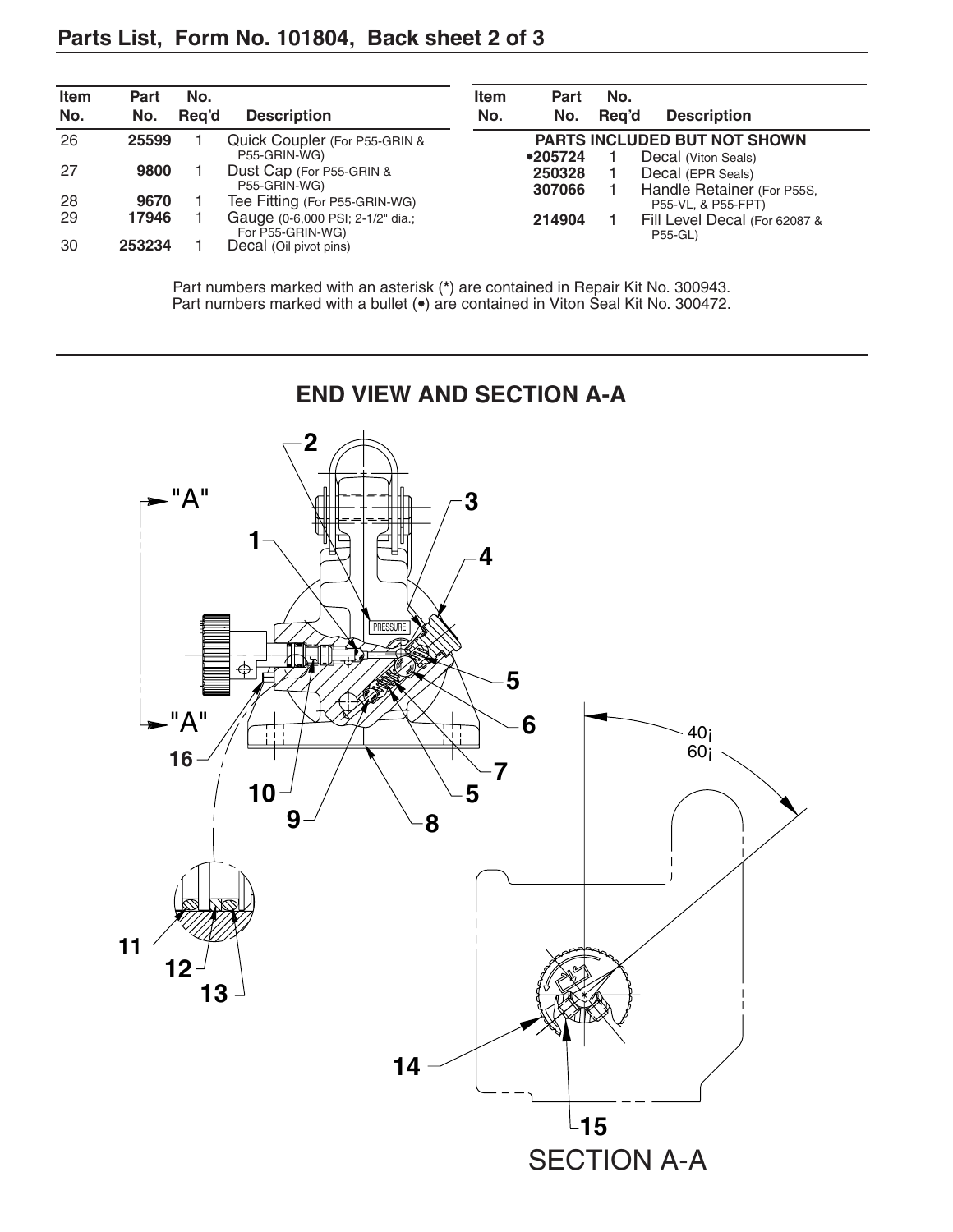| <b>Item</b><br>No. | Part<br>No. | No.<br>Rea'd | <b>Description</b>                                   | <b>Item</b><br>No. | <b>Part</b><br>No. | No.<br>Rea'd | <b>Description</b>                                         |
|--------------------|-------------|--------------|------------------------------------------------------|--------------------|--------------------|--------------|------------------------------------------------------------|
| 26                 | 25599       |              | Quick Coupler (For P55-GRIN &<br>P55-GRIN-WG)        |                    | •205724            |              | <b>PARTS INCLUDED BUT NOT SHOWN</b><br>Decal (Viton Seals) |
| 27                 | 9800        |              | Dust Cap (For P55-GRIN &<br>P55-GRIN-WG)             |                    | 250328<br>307066   |              | Decal (EPR Seals)<br>Handle Retainer (For P55S,            |
| 28                 | 9670        |              | Tee Fitting (For P55-GRIN-WG)                        |                    |                    |              | P55-VL, & P55-FPT)                                         |
| 29                 | 17946       |              | Gauge (0-6,000 PSI; 2-1/2" dia.;<br>For P55-GRIN-WG) |                    | 214904             |              | Fill Level Decal (For 62087 &<br><b>P55-GL)</b>            |
| 30                 | 253234      |              | Decal (Oil pivot pins)                               |                    |                    |              |                                                            |

Part numbers marked with an asterisk (**\***) are contained in Repair Kit No. 300943. Part numbers marked with a bullet (•) are contained in Viton Seal Kit No. 300472.



SECTION A-A